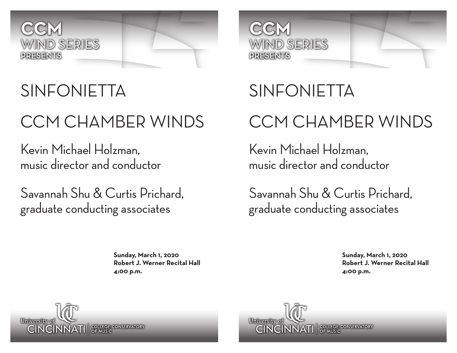

## SINFONIETTA

# CCM CHAMBER WINDS

Kevin Michael Holzman, music director and conductor

Savannah Shu & Curtis Prichard, graduate conducting associates

> **Sunday, March 1, 2020 Robert J. Werner Recital Hall 4:00 p.m.**



# SINFONIETTA CCM CHAMBER WINDS

Kevin Michael Holzman, music director and conductor

Savannah Shu & Curtis Prichard, graduate conducting associates

> **Sunday, March 1, 2020 Robert J. Werner Recital Hall 4:00 p.m.**